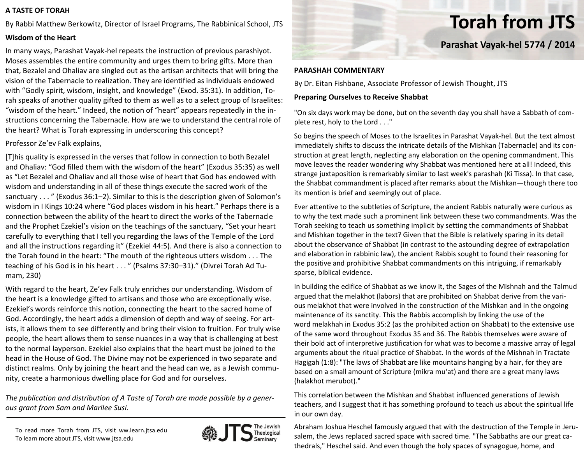### **A TASTE OF TORAH**

By Rabbi Matthew Berkowitz, Director of Israel Programs, The Rabbinical School, JTS

# **Wisdom of the Heart**

In many ways, Parashat Vayak‐hel repeats the instruction of previous parashiyot. Moses assembles the entire community and urges them to bring gifts. More than that, Bezalel and Ohaliav are singled out as the artisan architects that will bring the vision of the Tabernacle to realization. They are identified as individuals endowed with "Godly spirit, wisdom, insight, and knowledge" (Exod. 35:31). In addition, To‐ rah speaks of another quality gifted to them as well as to <sup>a</sup> select group of Israelites: "wisdom of the heart." Indeed, the notion of "heart" appears repeatedly in the in‐ structions concerning the Tabernacle. How are we to understand the central role of the heart? What is Torah expressing in underscoring this concept?

### Professor Ze'ev Falk explains,

[T]his quality is expressed in the verses that follow in connection to both Bezalel and Ohaliav: "God filled them with the wisdom of the heart" (Exodus 35:35) as well as "Let Bezalel and Ohaliav and all those wise of heart that God has endowed with wisdom and understanding in all of these things execute the sacred work of the sanctuary . . . " (Exodus 36:1–2). Similar to this is the description given of Solomon's wisdom in I Kings 10:24 where "God places wisdom in his heart." Perhaps there is <sup>a</sup> connection between the ability of the heart to direct the works of the Tabernacle and the Prophet Ezekiel's vision on the teachings of the sanctuary, "Set your heart carefully to everything that I tell you regarding the laws of the Temple of the Lord and all the instructions regarding it" (Ezekiel 44:5). And there is also <sup>a</sup> connection to the Torah found in the heart: "The mouth of the righteous utters wisdom . . . The teaching of his God is in his heart . . . " (Psalms 37:30–31)." (Divrei Torah Ad Tu‐ mam, 230)

With regard to the heart, Ze'ev Falk truly enriches our understanding. Wisdom of the heart is <sup>a</sup> knowledge gifted to artisans and those who are exceptionally wise. Ezekiel's words reinforce this notion, connecting the heart to the sacred home of God. Accordingly, the heart adds <sup>a</sup> dimension of depth and way of seeing. For art‐ ists, it allows them to see differently and bring their vision to fruition. For truly wise people, the heart allows them to sense nuances in <sup>a</sup> way that is challenging at best to the normal layperson. Ezekiel also explains that the heart must be joined to the head in the House of God. The Divine may not be experienced in two separate and distinct realms. Only by joining the heart and the head can we, as <sup>a</sup> Jewish commu‐ nity, create <sup>a</sup> harmonious dwelling place for God and for ourselves.

*The publication and distribution of A Taste of Torah are made possible by a gener‐ ous grant from Sam and Marilee Susi.*

To read more Torah from JTS, visit ww.learn.jtsa.edu To learn more about JTS, visit www.jtsa.edu



# **Torah from JTS**

**Parashat Vayak‐hel 5774 / 2014**

### **PARASHAH COMMENTARY**

By Dr. Eitan Fishbane, Associate Professor of Jewish Thought, JTS

# **Preparing Ourselves to Receive Shabbat**

"On six days work may be done, but on the seventh day you shall have <sup>a</sup> Sabbath of com‐ plete rest, holy to the Lord . . ."

So begins the speech of Moses to the Israelites in Parashat Vayak‐hel. But the text almost immediately shifts to discuss the intricate details of the Mishkan (Tabernacle) and its con‐ struction at great length, neglecting any elaboration on the opening commandment. This move leaves the reader wondering why Shabbat was mentioned here at all! Indeed, this strange juxtaposition is remarkably similar to last week's parashah (Ki Tissa). In that case, the Shabbat commandment is placed after remarks about the Mishkan—though there too its mention is brief and seemingly out of place.

Ever attentive to the subtleties of Scripture, the ancient Rabbis naturally were curious as to why the text made such <sup>a</sup> prominent link between these two commandments. Was the Torah seeking to teach us something implicit by setting the commandments of Shabbat and Mishkan together in the text? Given that the Bible is relatively sparing in its detail about the observance of Shabbat (in contrast to the astounding degree of extrapolation and elaboration in rabbinic law), the ancient Rabbis sought to found their reasoning for the positive and prohibitive Shabbat commandments on this intriguing, if remarkably sparse, biblical evidence.

In building the edifice of Shabbat as we know it, the Sages of the Mishnah and the Talmud argued that the melakhot (labors) that are prohibited on Shabbat derive from the vari‐ ous melakhot that were involved in the construction of the Mishkan and in the ongoing maintenance of its sanctity. This the Rabbis accomplish by linking the use of the word melakhah in Exodus 35:2 (as the prohibited action on Shabbat) to the extensive use of the same word throughout Exodus 35 and 36. The Rabbis themselves were aware of their bold act of interpretive justification for what was to become <sup>a</sup> massive array of legal arguments about the ritual practice of Shabbat. In the words of the Mishnah in Tractate Hagigah (1:8): "The laws of Shabbat are like mountains hanging by <sup>a</sup> hair, for they are based on <sup>a</sup> small amount of Scripture (mikra mu'at) and there are <sup>a</sup> great many laws (halakhot merubot)."

This correlation between the Mishkan and Shabbat influenced generations of Jewish teachers, and I suggest that it has something profound to teach us about the spiritual life in our own day.

Abraham Joshua Heschel famously argued that with the destruction of the Temple in Jeru‐ salem, the Jews replaced sacred space with sacred time. "The Sabbaths are our great ca‐ thedrals," Heschel said. And even though the holy spaces of synagogue, home, and